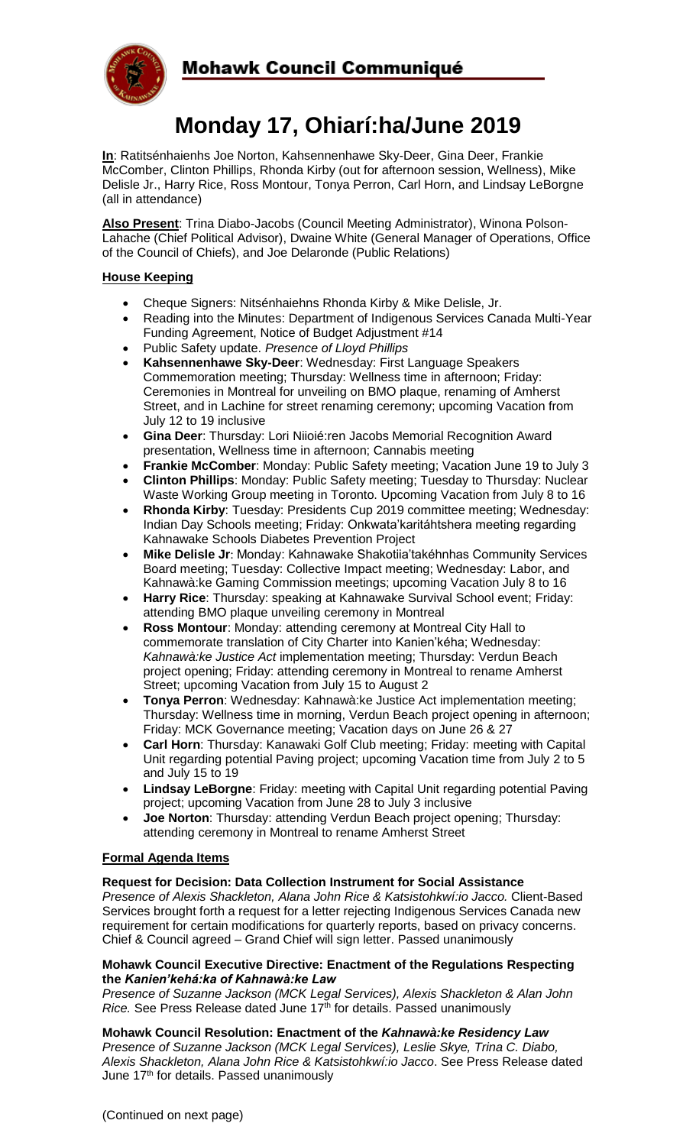

# **Monday 17, Ohiarí:ha/June 2019**

**In**: Ratitsénhaienhs Joe Norton, Kahsennenhawe Sky-Deer, Gina Deer, Frankie McComber, Clinton Phillips, Rhonda Kirby (out for afternoon session, Wellness), Mike Delisle Jr., Harry Rice, Ross Montour, Tonya Perron, Carl Horn, and Lindsay LeBorgne (all in attendance)

**Also Present**: Trina Diabo-Jacobs (Council Meeting Administrator), Winona Polson-Lahache (Chief Political Advisor), Dwaine White (General Manager of Operations, Office of the Council of Chiefs), and Joe Delaronde (Public Relations)

# **House Keeping**

- Cheque Signers: Nitsénhaiehns Rhonda Kirby & Mike Delisle, Jr.
- Reading into the Minutes: Department of Indigenous Services Canada Multi-Year Funding Agreement, Notice of Budget Adjustment #14
- Public Safety update. *Presence of Lloyd Phillips*
- **Kahsennenhawe Sky-Deer**: Wednesday: First Language Speakers Commemoration meeting; Thursday: Wellness time in afternoon; Friday: Ceremonies in Montreal for unveiling on BMO plaque, renaming of Amherst Street, and in Lachine for street renaming ceremony; upcoming Vacation from July 12 to 19 inclusive
- **Gina Deer**: Thursday: Lori Niioié:ren Jacobs Memorial Recognition Award presentation, Wellness time in afternoon; Cannabis meeting
- **Frankie McComber**: Monday: Public Safety meeting; Vacation June 19 to July 3 • **Clinton Phillips**: Monday: Public Safety meeting; Tuesday to Thursday: Nuclear Waste Working Group meeting in Toronto. Upcoming Vacation from July 8 to 16
- **Rhonda Kirby**: Tuesday: Presidents Cup 2019 committee meeting; Wednesday: Indian Day Schools meeting; Friday: Onkwata'karitáhtshera meeting regarding Kahnawake Schools Diabetes Prevention Project
- **Mike Delisle Jr**: Monday: Kahnawake Shakotiia'takéhnhas Community Services Board meeting; Tuesday: Collective Impact meeting; Wednesday: Labor, and Kahnawà:ke Gaming Commission meetings; upcoming Vacation July 8 to 16
- **Harry Rice**: Thursday: speaking at Kahnawake Survival School event; Friday: attending BMO plaque unveiling ceremony in Montreal
- **Ross Montour**: Monday: attending ceremony at Montreal City Hall to commemorate translation of City Charter into Kanien'kéha; Wednesday: *Kahnawà:ke Justice Act* implementation meeting; Thursday: Verdun Beach project opening; Friday: attending ceremony in Montreal to rename Amherst Street; upcoming Vacation from July 15 to August 2
- **Tonya Perron**: Wednesday: Kahnawà:ke Justice Act implementation meeting; Thursday: Wellness time in morning, Verdun Beach project opening in afternoon; Friday: MCK Governance meeting; Vacation days on June 26 & 27
- **Carl Horn**: Thursday: Kanawaki Golf Club meeting; Friday: meeting with Capital Unit regarding potential Paving project; upcoming Vacation time from July 2 to 5 and July 15 to 19
- **Lindsay LeBorgne**: Friday: meeting with Capital Unit regarding potential Paving project; upcoming Vacation from June 28 to July 3 inclusive
- **Joe Norton**: Thursday: attending Verdun Beach project opening; Thursday: attending ceremony in Montreal to rename Amherst Street

# **Formal Agenda Items**

# **Request for Decision: Data Collection Instrument for Social Assistance**

*Presence of Alexis Shackleton, Alana John Rice & Katsistohkwí:io Jacco.* Client-Based Services brought forth a request for a letter rejecting Indigenous Services Canada new requirement for certain modifications for quarterly reports, based on privacy concerns. Chief & Council agreed – Grand Chief will sign letter. Passed unanimously

## **Mohawk Council Executive Directive: Enactment of the Regulations Respecting the** *Kanien'kehá:ka of Kahnawà:ke Law*

*Presence of Suzanne Jackson (MCK Legal Services), Alexis Shackleton & Alan John Rice.* See Press Release dated June 17<sup>th</sup> for details. Passed unanimously

**Mohawk Council Resolution: Enactment of the** *Kahnawà:ke Residency Law*

*Presence of Suzanne Jackson (MCK Legal Services), Leslie Skye, Trina C. Diabo, Alexis Shackleton, Alana John Rice & Katsistohkwí:io Jacco*. See Press Release dated June 17<sup>th</sup> for details. Passed unanimously